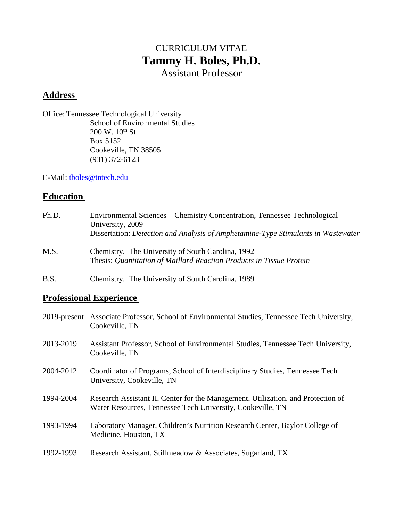# CURRICULUM VITAE **Tammy H. Boles, Ph.D.** Assistant Professor

# **Address**

Office: Tennessee Technological University School of Environmental Studies  $200 \text{ W}$ .  $10^{\text{th}}$  St. Box 5152 Cookeville, TN 38505 (931) 372-6123

E-Mail: [tboles@tntech.edu](mailto:tboles@tntech.edu)

# **Education**

| Ph.D. | Environmental Sciences – Chemistry Concentration, Tennessee Technological<br>University, 2009<br>Dissertation: Detection and Analysis of Amphetamine-Type Stimulants in Wastewater |
|-------|------------------------------------------------------------------------------------------------------------------------------------------------------------------------------------|
| M.S.  | Chemistry. The University of South Carolina, 1992<br>Thesis: Quantitation of Maillard Reaction Products in Tissue Protein                                                          |
| B.S.  | Chemistry. The University of South Carolina, 1989                                                                                                                                  |

# **Professional Experience**

|           | 2019-present Associate Professor, School of Environmental Studies, Tennessee Tech University,<br>Cookeville, TN                                |
|-----------|------------------------------------------------------------------------------------------------------------------------------------------------|
| 2013-2019 | Assistant Professor, School of Environmental Studies, Tennessee Tech University,<br>Cookeville, TN                                             |
| 2004-2012 | Coordinator of Programs, School of Interdisciplinary Studies, Tennessee Tech<br>University, Cookeville, TN                                     |
| 1994-2004 | Research Assistant II, Center for the Management, Utilization, and Protection of<br>Water Resources, Tennessee Tech University, Cookeville, TN |
| 1993-1994 | Laboratory Manager, Children's Nutrition Research Center, Baylor College of<br>Medicine, Houston, TX                                           |
| 1992-1993 | Research Assistant, Stillmeadow & Associates, Sugarland, TX                                                                                    |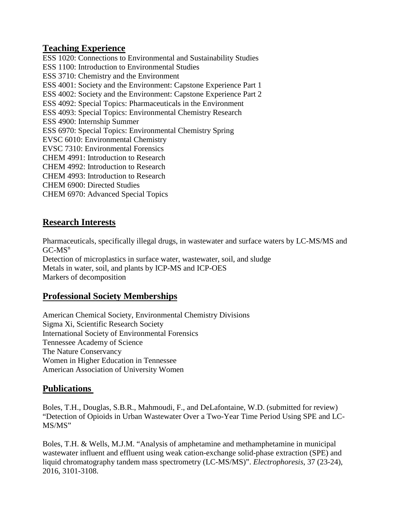#### **Teaching Experience**

ESS 1020: Connections to Environmental and Sustainability Studies ESS 1100: Introduction to Environmental Studies ESS 3710: Chemistry and the Environment ESS 4001: Society and the Environment: Capstone Experience Part 1 ESS 4002: Society and the Environment: Capstone Experience Part 2 ESS 4092: Special Topics: Pharmaceuticals in the Environment ESS 4093: Special Topics: Environmental Chemistry Research ESS 4900: Internship Summer ESS 6970: Special Topics: Environmental Chemistry Spring EVSC 6010: Environmental Chemistry EVSC 7310: Environmental Forensics CHEM 4991: Introduction to Research CHEM 4992: Introduction to Research CHEM 4993: Introduction to Research CHEM 6900: Directed Studies CHEM 6970: Advanced Special Topics

### **Research Interests**

Pharmaceuticals, specifically illegal drugs, in wastewater and surface waters by LC-MS/MS and  $GC-MS<sup>n</sup>$ 

Detection of microplastics in surface water, wastewater, soil, and sludge Metals in water, soil, and plants by ICP-MS and ICP-OES Markers of decomposition

## **Professional Society Memberships**

American Chemical Society, Environmental Chemistry Divisions Sigma Xi, Scientific Research Society International Society of Environmental Forensics Tennessee Academy of Science The Nature Conservancy Women in Higher Education in Tennessee American Association of University Women

#### **Publications**

Boles, T.H., Douglas, S.B.R., Mahmoudi, F., and DeLafontaine, W.D. (submitted for review) "Detection of Opioids in Urban Wastewater Over a Two-Year Time Period Using SPE and LC-MS/MS"

Boles, T.H. & Wells, M.J.M. "Analysis of amphetamine and methamphetamine in municipal wastewater influent and effluent using weak cation-exchange solid-phase extraction (SPE) and liquid chromatography tandem mass spectrometry (LC-MS/MS)". *Electrophoresis*, 37 (23-24), 2016, 3101-3108.